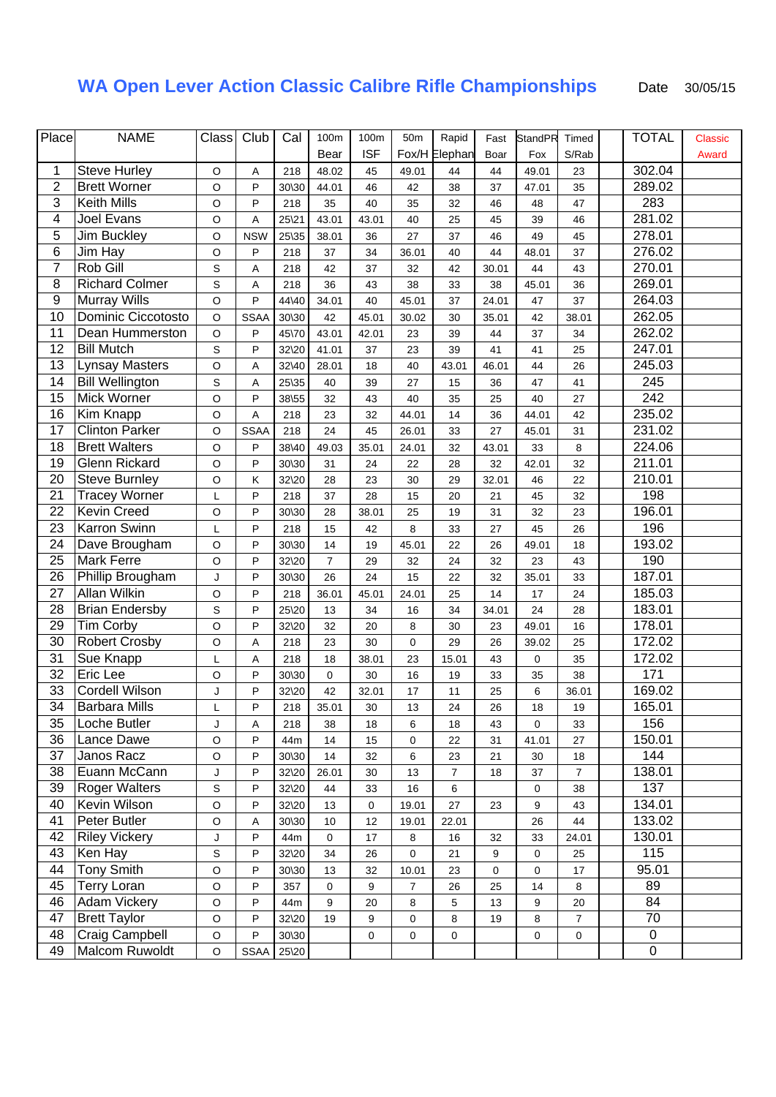## **WA Open Lever Action Classic Calibre Rifle Championships** Date 30/05/15

| Place            | <b>NAME</b>            |                           | Club        | Cal   |                |             |                 | Rapid          |       |                |                | <b>TOTAL</b>     |         |
|------------------|------------------------|---------------------------|-------------|-------|----------------|-------------|-----------------|----------------|-------|----------------|----------------|------------------|---------|
|                  |                        | $\overline{\text{Class}}$ |             |       | 100m           | 100m        | 50 <sub>m</sub> |                | Fast  | <b>StandPR</b> | Timed          |                  | Classic |
|                  |                        |                           |             |       | Bear           | <b>ISF</b>  |                 | Fox/H Elephan  | Boar  | Fox            | S/Rab          |                  | Award   |
| 1                | <b>Steve Hurley</b>    | $\mathsf O$               | Α           | 218   | 48.02          | 45          | 49.01           | 44             | 44    | 49.01          | 23             | 302.04           |         |
| $\overline{2}$   | <b>Brett Worner</b>    | $\circ$                   | P           | 30\30 | 44.01          | 46          | 42              | 38             | 37    | 47.01          | 35             | 289.02           |         |
| 3                | Keith Mills            | $\circ$                   | P           | 218   | 35             | 40          | 35              | 32             | 46    | 48             | 47             | 283              |         |
| 4                | Joel Evans             | O                         | Α           | 25\21 | 43.01          | 43.01       | 40              | 25             | 45    | 39             | 46             | 281.02           |         |
| 5                | Jim Buckley            | $\mathsf O$               | <b>NSW</b>  | 25\35 | 38.01          | 36          | 27              | 37             | 46    | 49             | 45             | 278.01           |         |
| $\,6$            | Jim Hay                | $\mathsf O$               | P           | 218   | 37             | 34          | 36.01           | 40             | 44    | 48.01          | 37             | 276.02           |         |
| $\overline{7}$   | Rob Gill               | S                         | Α           | 218   | 42             | 37          | 32              | 42             | 30.01 | 44             | 43             | 270.01           |         |
| 8                | <b>Richard Colmer</b>  | S                         | Α           | 218   | 36             | 43          | 38              | 33             | 38    | 45.01          | 36             | 269.01           |         |
| $\boldsymbol{9}$ | <b>Murray Wills</b>    | $\circ$                   | P           | 44\40 | 34.01          | 40          | 45.01           | 37             | 24.01 | 47             | 37             | 264.03           |         |
| 10               | Dominic Ciccotosto     | $\mathsf O$               | <b>SSAA</b> | 30\30 | 42             | 45.01       | 30.02           | 30             | 35.01 | 42             | 38.01          | 262.05           |         |
| 11               | Dean Hummerston        | $\circ$                   | P           | 45\70 | 43.01          | 42.01       | 23              | 39             | 44    | 37             | 34             | 262.02           |         |
| 12               | <b>Bill Mutch</b>      | S                         | P           | 32\20 | 41.01          | 37          | 23              | 39             | 41    | 41             | 25             | 247.01           |         |
| 13               | <b>Lynsay Masters</b>  | $\mathsf O$               | A           | 32\40 | 28.01          | 18          | 40              | 43.01          | 46.01 | 44             | 26             | 245.03           |         |
| 14               | <b>Bill Wellington</b> | S                         | A           | 25\35 | 40             | 39          | 27              | 15             | 36    | 47             | 41             | 245              |         |
| 15               | Mick Worner            | $\mathsf O$               | P           | 38\55 | 32             | 43          | 40              | 35             | 25    | 40             | 27             | $\overline{242}$ |         |
| 16               | Kim Knapp              |                           |             | 218   |                | 32          |                 |                |       |                | 42             | 235.02           |         |
|                  |                        | $\mathsf O$               | Α           |       | 23             |             | 44.01           | 14             | 36    | 44.01          |                |                  |         |
| 17               | <b>Clinton Parker</b>  | $\circ$                   | <b>SSAA</b> | 218   | 24             | 45          | 26.01           | 33             | 27    | 45.01          | 31             | 231.02           |         |
| 18               | <b>Brett Walters</b>   | $\circ$                   | P           | 38\40 | 49.03          | 35.01       | 24.01           | 32             | 43.01 | 33             | 8              | 224.06           |         |
| 19               | <b>Glenn Rickard</b>   | $\circ$                   | P           | 30\30 | 31             | 24          | 22              | 28             | 32    | 42.01          | 32             | 211.01           |         |
| 20               | <b>Steve Burnley</b>   | $\circ$                   | Κ           | 32\20 | 28             | 23          | 30              | 29             | 32.01 | 46             | 22             | 210.01           |         |
| 21               | <b>Tracey Worner</b>   | Г                         | P           | 218   | 37             | 28          | 15              | 20             | 21    | 45             | 32             | 198              |         |
| 22               | <b>Kevin Creed</b>     | $\circ$                   | P           | 30\30 | 28             | 38.01       | 25              | 19             | 31    | 32             | 23             | 196.01           |         |
| 23               | Karron Swinn           | Г                         | P           | 218   | 15             | 42          | 8               | 33             | 27    | 45             | 26             | 196              |         |
| 24               | Dave Brougham          | $\circ$                   | P           | 30\30 | 14             | 19          | 45.01           | 22             | 26    | 49.01          | 18             | 193.02           |         |
| 25               | <b>Mark Ferre</b>      | $\circ$                   | P           | 32\20 | $\overline{7}$ | 29          | 32              | 24             | 32    | 23             | 43             | 190              |         |
| 26               | Phillip Brougham       | J                         | P           | 30\30 | 26             | 24          | 15              | 22             | 32    | 35.01          | 33             | 187.01           |         |
| 27               | Allan Wilkin           | $\circ$                   | P           | 218   | 36.01          | 45.01       | 24.01           | 25             | 14    | 17             | 24             | 185.03           |         |
| 28               | <b>Brian Endersby</b>  | S                         | P           | 25\20 | 13             | 34          | 16              | 34             | 34.01 | 24             | 28             | 183.01           |         |
| 29               | <b>Tim Corby</b>       | $\circ$                   | P           | 32\20 | 32             | 20          | 8               | 30             | 23    | 49.01          | 16             | 178.01           |         |
| 30               | <b>Robert Crosby</b>   | $\circ$                   | A           | 218   | 23             | 30          | 0               | 29             | 26    | 39.02          | 25             | 172.02           |         |
| 31               | Sue Knapp              | L                         | Α           | 218   | 18             | 38.01       | 23              | 15.01          | 43    | 0              | 35             | 172.02           |         |
| 32               | Eric Lee               | $\circ$                   | P           | 30\30 | $\mathbf 0$    | 30          | 16              | 19             | 33    | 35             | 38             | 171              |         |
| 33               | Cordell Wilson         | J                         | P           | 32\20 | 42             | 32.01       | 17              | 11             | 25    | 6              | 36.01          | 169.02           |         |
| 34               | <b>Barbara Mills</b>   |                           | P           | 218   | 35.01          | 30          | 13              | 24             | 26    | 18             | 19             | 165.01           |         |
| 35               | Loche Butler           | J                         | Α           | 218   | 38             | 18          | 6               | 18             | 43    | 0              | 33             | 156              |         |
| 36               | Lance Dawe             | $\circ$                   | P           | 44m   | 14             | 15          | 0               | 22             | 31    | 41.01          | 27             | 150.01           |         |
| 37               | Janos Racz             | $\circ$                   | P           | 30\30 | 14             | 32          | 6               | 23             | 21    | 30             | 18             | 144              |         |
| 38               | Euann McCann           | J                         | P           | 32\20 | 26.01          | 30          | 13              | $\overline{7}$ | 18    | 37             | $\overline{7}$ | 138.01           |         |
| 39               | <b>Roger Walters</b>   | $\mathsf S$               | P           | 32\20 | 44             | 33          | 16              | 6              |       | 0              | 38             | 137              |         |
| 40               | Kevin Wilson           | $\circ$                   | P           | 32\20 | 13             | $\mathbf 0$ | 19.01           | 27             | 23    | 9              | 43             | 134.01           |         |
| 41               | Peter Butler           |                           |             |       |                | 12          |                 |                |       |                | 44             | 133.02           |         |
|                  |                        | O                         | Α           | 30\30 | 10             |             | 19.01           | 22.01          |       | 26             |                |                  |         |
| 42               | <b>Riley Vickery</b>   | J                         | P           | 44m   | 0              | 17          | 8               | $16\,$         | 32    | 33             | 24.01          | 130.01           |         |
| 43               | Ken Hay                | $\mathsf S$               | P           | 32\20 | 34             | 26          | 0               | 21             | 9     | 0              | 25             | 115              |         |
| 44               | <b>Tony Smith</b>      | $\mathsf O$               | P           | 30\30 | 13             | 32          | 10.01           | 23             | 0     | 0              | 17             | 95.01            |         |
| 45               | <b>Terry Loran</b>     | $\circ$                   | P           | 357   | 0              | 9           | 7               | 26             | 25    | 14             | 8              | 89               |         |
| 46               | Adam Vickery           | O                         | P           | 44m   | 9              | 20          | 8               | $\sqrt{5}$     | 13    | 9              | 20             | 84               |         |
| 47               | <b>Brett Taylor</b>    | O                         | P           | 32\20 | 19             | 9           | 0               | 8              | 19    | 8              | $\overline{7}$ | 70               |         |
| 48               | Craig Campbell         | $\hbox{O}$                | P           | 30\30 |                | 0           | 0               | $\mathbf 0$    |       | 0              | 0              | 0                |         |
| 49               | Malcom Ruwoldt         | $\circ$                   | SSAA        | 25\20 |                |             |                 |                |       |                |                | $\mathbf 0$      |         |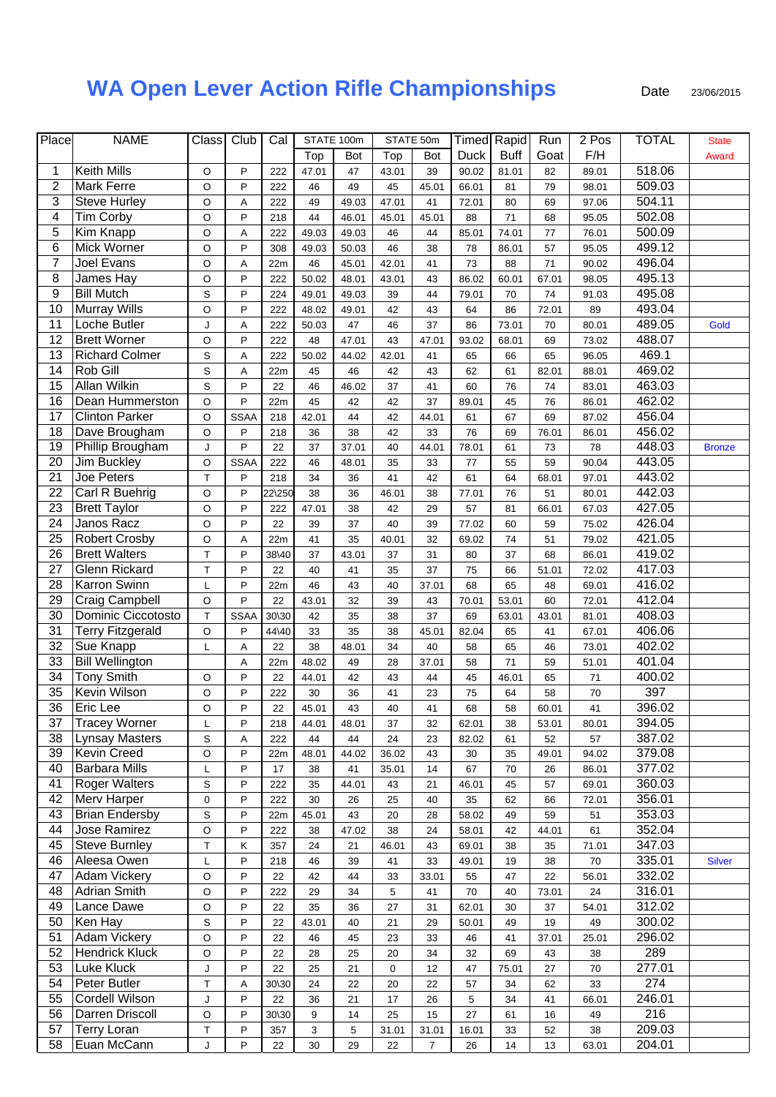## **WA Open Lever Action Rifle Championships** Date 23/06/2015

| Place            | <b>NAME</b>             | Class       | Club        | Cal    |       | STATE 100m |       | STATE 50m      |             | <b>Timed</b> Rapid | Run     | 2 Pos  | <b>TOTAL</b> | <b>State</b>  |
|------------------|-------------------------|-------------|-------------|--------|-------|------------|-------|----------------|-------------|--------------------|---------|--------|--------------|---------------|
|                  |                         |             |             |        | Top   | Bot        | Top   | Bot            | <b>Duck</b> | <b>Buff</b>        | Goat    | F/H    |              | Award         |
| 1                | <b>Keith Mills</b>      | O           | P           | 222    | 47.01 | 47         | 43.01 | 39             | 90.02       | 81.01              | 82      | 89.01  | 518.06       |               |
| $\boldsymbol{2}$ | <b>Mark Ferre</b>       | O           | P           | 222    | 46    | 49         | 45    | 45.01          | 66.01       | 81                 | 79      | 98.01  | 509.03       |               |
| 3                | <b>Steve Hurley</b>     | $\circ$     | Α           | 222    | 49    | 49.03      | 47.01 | 41             | 72.01       | 80                 | 69      | 97.06  | 504.11       |               |
| $\overline{4}$   | <b>Tim Corby</b>        | $\circ$     | P           | 218    | 44    | 46.01      | 45.01 | 45.01          | 88          | 71                 | 68      | 95.05  | 502.08       |               |
| $\mathbf 5$      | Kim Knapp               | $\circ$     | Α           | 222    | 49.03 | 49.03      | 46    | 44             | 85.01       | 74.01              | $77 \,$ | 76.01  | 500.09       |               |
| 6                | Mick Worner             | $\circ$     | P           | 308    | 49.03 | 50.03      | 46    | 38             | 78          | 86.01              | 57      | 95.05  | 499.12       |               |
| $\overline{7}$   | Joel Evans              | $\circ$     | A           | 22m    | 46    | 45.01      | 42.01 | 41             | 73          | 88                 | 71      | 90.02  | 496.04       |               |
| 8                | James Hay               | O           | P           | 222    | 50.02 | 48.01      | 43.01 | 43             | 86.02       | 60.01              | 67.01   | 98.05  | 495.13       |               |
| $\boldsymbol{9}$ | <b>Bill Mutch</b>       | S           | P           | 224    | 49.01 | 49.03      | 39    | 44             | 79.01       | 70                 | 74      |        | 495.08       |               |
| 10               |                         | $\circ$     | P           |        |       |            |       |                |             |                    |         | 91.03  | 493.04       |               |
|                  | <b>Murray Wills</b>     |             |             | 222    | 48.02 | 49.01      | 42    | 43             | 64          | 86                 | 72.01   | 89     |              |               |
| 11               | Loche Butler            | J           | Α           | 222    | 50.03 | 47         | 46    | 37             | 86          | 73.01              | 70      | 80.01  | 489.05       | Gold          |
| 12               | <b>Brett Worner</b>     | O           | P           | 222    | 48    | 47.01      | 43    | 47.01          | 93.02       | 68.01              | 69      | 73.02  | 488.07       |               |
| 13               | <b>Richard Colmer</b>   | S           | Α           | 222    | 50.02 | 44.02      | 42.01 | 41             | 65          | 66                 | 65      | 96.05  | 469.1        |               |
| 14               | Rob Gill                | S           | Α           | 22m    | 45    | 46         | 42    | 43             | 62          | 61                 | 82.01   | 88.01  | 469.02       |               |
| 15               | <b>Allan Wilkin</b>     | S           | P           | 22     | 46    | 46.02      | 37    | 41             | 60          | 76                 | 74      | 83.01  | 463.03       |               |
| 16               | Dean Hummerston         | $\circ$     | P           | 22m    | 45    | 42         | 42    | 37             | 89.01       | 45                 | 76      | 86.01  | 462.02       |               |
| 17               | <b>Clinton Parker</b>   | $\circ$     | <b>SSAA</b> | 218    | 42.01 | 44         | 42    | 44.01          | 61          | 67                 | 69      | 87.02  | 456.04       |               |
| 18               | Dave Brougham           | $\mathsf O$ | P           | 218    | 36    | 38         | 42    | 33             | 76          | 69                 | 76.01   | 86.01  | 456.02       |               |
| 19               | Phillip Brougham        | J           | P           | 22     | 37    | 37.01      | 40    | 44.01          | 78.01       | 61                 | 73      | 78     | 448.03       | <b>Bronze</b> |
| 20               | Jim Buckley             | O           | <b>SSAA</b> | 222    | 46    | 48.01      | 35    | 33             | 77          | 55                 | 59      | 90.04  | 443.05       |               |
| 21               | Joe Peters              | T           | P           | 218    | 34    | 36         | 41    | 42             | 61          | 64                 | 68.01   | 97.01  | 443.02       |               |
| 22               | Carl R Buehrig          | $\circ$     | P           | 22\250 | 38    | 36         | 46.01 | 38             | 77.01       | 76                 | 51      | 80.01  | 442.03       |               |
| $\overline{23}$  | <b>Brett Taylor</b>     | O           | P           | 222    | 47.01 | 38         | 42    | 29             | 57          | 81                 | 66.01   | 67.03  | 427.05       |               |
| 24               | Janos Racz              | O           | P           | 22     | 39    | 37         | 40    | 39             | 77.02       | 60                 | 59      | 75.02  | 426.04       |               |
| 25               | <b>Robert Crosby</b>    | O           | Α           | 22m    | 41    | 35         | 40.01 | 32             | 69.02       | 74                 | 51      | 79.02  | 421.05       |               |
| 26               | <b>Brett Walters</b>    | T           | P           | 38\40  | 37    | 43.01      | 37    | 31             | 80          | 37                 | 68      | 86.01  | 419.02       |               |
| 27               | <b>Glenn Rickard</b>    | T           | P           | 22     | 40    | 41         | 35    | 37             | 75          | 66                 | 51.01   | 72.02  | 417.03       |               |
| 28               | <b>Karron Swinn</b>     | L           | P           | 22m    | 46    | 43         | 40    | 37.01          | 68          | 65                 | 48      | 69.01  | 416.02       |               |
| 29               | <b>Craig Campbell</b>   | $\circ$     | P           | 22     | 43.01 | 32         | 39    | 43             | 70.01       | 53.01              | 60      | 72.01  | 412.04       |               |
| 30               | Dominic Ciccotosto      | T           | <b>SSAA</b> | 30\30  | 42    | 35         | 38    | 37             | 69          | 63.01              | 43.01   | 81.01  | 408.03       |               |
| 31               | <b>Terry Fitzgerald</b> | $\mathsf O$ | P           | 44\40  | 33    | 35         | 38    | 45.01          | 82.04       | 65                 | 41      | 67.01  | 406.06       |               |
| 32               | Sue Knapp               | L           | A           | 22     | 38    | 48.01      | 34    | 40             | 58          | 65                 | 46      | 73.01  | 402.02       |               |
| 33               | <b>Bill Wellington</b>  |             |             |        |       |            | 28    |                |             | 71                 |         |        | 401.04       |               |
| 34               |                         |             | Α<br>P      | 22m    | 48.02 | 49         |       | 37.01          | 58          |                    | 59      | 51.01  |              |               |
|                  | <b>Tony Smith</b>       | O           |             | 22     | 44.01 | 42         | 43    | 44             | 45          | 46.01              | 65      | $71$   | 400.02       |               |
| 35               | Kevin Wilson            | O           | P           | 222    | 30    | 36         | 41    | 23             | 75          | 64                 | 58      | $70\,$ | 397          |               |
| 36               | <b>Eric Lee</b>         | O           | P           | 22     | 45.01 | 43         | 40    | 41             | 68          | 58                 | 60.01   | 41     | 396.02       |               |
| 37               | <b>Tracey Worner</b>    | L           | P           | 218    | 44.01 | 48.01      | 37    | 32             | 62.01       | 38                 | 53.01   | 80.01  | 394.05       |               |
| 38               | <b>Lynsay Masters</b>   | S           | Α           | 222    | 44    | 44         | 24    | 23             | 82.02       | 61                 | 52      | 57     | 387.02       |               |
| 39               | <b>Kevin Creed</b>      | $\mathsf O$ | P           | 22m    | 48.01 | 44.02      | 36.02 | 43             | 30          | 35                 | 49.01   | 94.02  | 379.08       |               |
| 40               | <b>Barbara Mills</b>    | L           | P           | 17     | 38    | 41         | 35.01 | 14             | 67          | 70                 | 26      | 86.01  | 377.02       |               |
| 41               | <b>Roger Walters</b>    | S           | P           | 222    | 35    | 44.01      | 43    | 21             | 46.01       | 45                 | 57      | 69.01  | 360.03       |               |
| 42               | <b>Merv Harper</b>      | 0           | P           | 222    | 30    | 26         | 25    | 40             | 35          | 62                 | 66      | 72.01  | 356.01       |               |
| 43               | <b>Brian Endersby</b>   | S           | P           | 22m    | 45.01 | 43         | 20    | 28             | 58.02       | 49                 | 59      | 51     | 353.03       |               |
| 44               | Jose Ramirez            | $\hbox{O}$  | P           | 222    | 38    | 47.02      | 38    | 24             | 58.01       | 42                 | 44.01   | 61     | 352.04       |               |
| 45               | <b>Steve Burnley</b>    | T           | Κ           | 357    | 24    | 21         | 46.01 | 43             | 69.01       | 38                 | 35      | 71.01  | 347.03       |               |
| 46               | Aleesa Owen             | L           | P           | 218    | 46    | 39         | 41    | 33             | 49.01       | 19                 | 38      | 70     | 335.01       | <b>Silver</b> |
| 47               | <b>Adam Vickery</b>     | O           | P           | 22     | 42    | 44         | 33    | 33.01          | 55          | 47                 | 22      | 56.01  | 332.02       |               |
| 48               | <b>Adrian Smith</b>     | O           | P           | 222    | 29    | 34         | 5     | 41             | 70          | 40                 | 73.01   | 24     | 316.01       |               |
| 49               | Lance Dawe              | $\mathsf O$ | P           | 22     | 35    | 36         | 27    | 31             | 62.01       | 30                 | 37      | 54.01  | 312.02       |               |
| 50               | Ken Hay                 | S           | P           | 22     | 43.01 | 40         | 21    | 29             | 50.01       | 49                 | 19      | 49     | 300.02       |               |
| 51               | <b>Adam Vickery</b>     | O           | P           | 22     | 46    | 45         | 23    | 33             | 46          | 41                 | 37.01   | 25.01  | 296.02       |               |
| 52               | <b>Hendrick Kluck</b>   | $\mathsf O$ | P           | 22     | 28    | 25         | 20    | $34\,$         | 32          | 69                 | 43      | 38     | 289          |               |
| 53               | Luke Kluck              | J           | P           | 22     | 25    | 21         | 0     | 12             | 47          | 75.01              | 27      | 70     | 277.01       |               |
| 54               | Peter Butler            | T           | Α           | 30\30  | 24    | 22         | 20    | 22             | 57          | 34                 | 62      | 33     | 274          |               |
| 55               | Cordell Wilson          | J           | P           | 22     | 36    | 21         | 17    | 26             | 5           | 34                 | 41      | 66.01  | 246.01       |               |
| 56               | Darren Driscoll         | O           | P           | 30\30  | 9     | 14         | 25    | 15             | 27          | 61                 | 16      | 49     | 216          |               |
| 57               | <b>Terry Loran</b>      | T           | P           | 357    | 3     |            |       |                |             |                    |         | 38     | 209.03       |               |
|                  |                         |             |             |        |       | 5          | 31.01 | 31.01          | 16.01       | 33                 | 52      |        |              |               |
| 58               | Euan McCann             | J           | P           | 22     | 30    | 29         | 22    | $\overline{7}$ | 26          | 14                 | 13      | 63.01  | 204.01       |               |